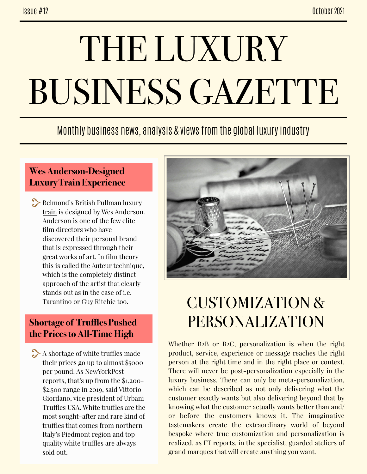# THE LUXURY BUSINESS GAZETTE

### Monthly business news, analysis & views from the global luxury industry

#### **Wes Anderson-Designed Luxury Train Experience**

Belmond's British Pullman luxury [train](https://www.architecturaldigest.com/story/inside-a-wes-anderson-designed-luxury-train/amp) is designed by Wes Anderson. Anderson is one of the few elite film directors who have discovered their personal brand that is expressed through their great works of art. In film theory this is called the Auteur technique, which is the completely distinct approach of the artist that clearly stands out as in the case of i.e. Tarantino or Guy Ritchie too.

#### **Shortage of Truffles Pushed the Prices to All-Time High**

 $\rightarrow$  A shortage of white truffles made their prices go up to almost \$5000 per pound. As [NewYorkPost](https://nypost.com/2021/10/25/truffles-take-over-the-menu-at-nyc-restaurants/) reports, that's up from the \$1,200- \$2,500 range in 2019, said Vittorio Giordano, vice president of Urbani Truffles USA. White truffles are the most sought-after and rare kind of truffles that comes from northern Italy's Piedmont region and top quality white truffles are always sold out.



## CUSTOMIZATION & PERSONALIZATION

Whether B2B or B2C, personalization is when the right product, service, experience or message reaches the right person at the right time and in the right place or context. There will never be post-personalization especially in the luxury business. There can only be meta-personalization, which can be described as not only delivering what the customer exactly wants but also delivering beyond that by knowing what the customer actually wants better than and/ or before the customers knows it. The imaginative tastemakers create the extraordinary world of beyond bespoke where true customization and personalization is realized, as [FT reports,](https://amp.ft.com/content/5bddc6b4-42e2-440d-bb5f-b5e6690b2311) in the specialist, guarded ateliers of grand marques that will create anything you want.